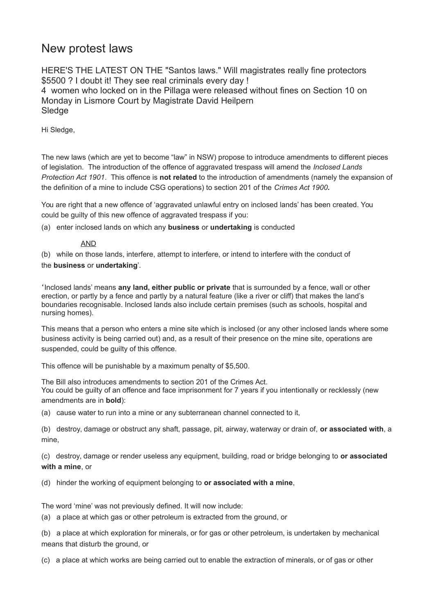# New protest laws

HERE'S THE LATEST ON THE "Santos laws." Will magistrates really fine protectors \$5500 ? I doubt it! They see real criminals every day ! 4 women who locked on in the Pillaga were released without fines on Section 10 on Monday in Lismore Court by Magistrate David Heilpern **Sledge** 

Hi Sledge,

The new laws (which are yet to become "law" in NSW) propose to introduce amendments to different pieces of legislation. The introduction of the offence of aggravated trespass will amend the *Inclosed Lands Protection Act 1901*. This offence is **not related** to the introduction of amendments (namely the expansion of the definition of a mine to include CSG operations) to section 201 of the *Crimes Act 1900***.**

You are right that a new offence of 'aggravated unlawful entry on inclosed lands' has been created. You could be guilty of this new offence of aggravated trespass if you:

(a) enter inclosed lands on which any **business** or **undertaking** is conducted

## AND

(b) while on those lands, interfere, attempt to interfere, or intend to interfere with the conduct of

# the **business** or **undertaking**'*.*

'Inclosed lands' means **any land, either public or private** that is surrounded by a fence, wall or other erection, or partly by a fence and partly by a natural feature (like a river or cliff) that makes the land's boundaries recognisable. Inclosed lands also include certain premises (such as schools, hospital and nursing homes).

This means that a person who enters a mine site which is inclosed (or any other inclosed lands where some business activity is being carried out) and, as a result of their presence on the mine site, operations are suspended, could be guilty of this offence.

This offence will be punishable by a maximum penalty of \$5,500.

The Bill also introduces amendments to section 201 of the Crimes Act. You could be guilty of an offence and face imprisonment for 7 years if you intentionally or recklessly (new amendments are in **bold**):

(a) cause water to run into a mine or any subterranean channel connected to it,

(b) destroy, damage or obstruct any shaft, passage, pit, airway, waterway or drain of, **or associated with**, a mine,

(c) destroy, damage or render useless any equipment, building, road or bridge belonging to **or associated with a mine**, or

(d) hinder the working of equipment belonging to **or associated with a mine**,

The word 'mine' was not previously defined. It will now include:

(a) a place at which gas or other petroleum is extracted from the ground, or

(b) a place at which exploration for minerals, or for gas or other petroleum, is undertaken by mechanical means that disturb the ground, or

(c) a place at which works are being carried out to enable the extraction of minerals, or of gas or other